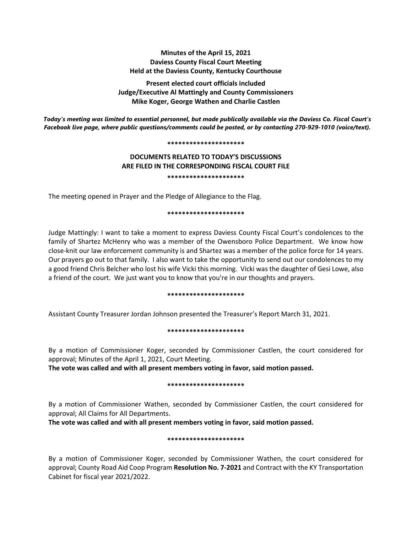# **Minutes of the April 15, 2021 Daviess County Fiscal Court Meeting Held at the Daviess County, Kentucky Courthouse**

**Present elected court officials included Judge/Executive Al Mattingly and County Commissioners Mike Koger, George Wathen and Charlie Castlen**

*Today's meeting was limited to essential personnel, but made publically available via the Daviess Co. Fiscal Court's Facebook live page, where public questions/comments could be posted, or by contacting 270-929-1010 (voice/text).*

#### **\*\*\*\*\*\*\*\*\*\*\*\*\*\*\*\*\*\*\*\*\***

# **DOCUMENTS RELATED TO TODAY'S DISCUSSIONS ARE FILED IN THE CORRESPONDING FISCAL COURT FILE \*\*\*\*\*\*\*\*\*\*\*\*\*\*\*\*\*\*\*\*\***

The meeting opened in Prayer and the Pledge of Allegiance to the Flag.

### **\*\*\*\*\*\*\*\*\*\*\*\*\*\*\*\*\*\*\*\*\***

Judge Mattingly: I want to take a moment to express Daviess County Fiscal Court's condolences to the family of Shartez McHenry who was a member of the Owensboro Police Department. We know how close-knit our law enforcement community is and Shartez was a member of the police force for 14 years. Our prayers go out to that family. I also want to take the opportunity to send out our condolences to my a good friend Chris Belcher who lost his wife Vicki this morning. Vicki was the daughter of Gesi Lowe, also a friend of the court. We just want you to know that you're in our thoughts and prayers.

### **\*\*\*\*\*\*\*\*\*\*\*\*\*\*\*\*\*\*\*\*\***

Assistant County Treasurer Jordan Johnson presented the Treasurer's Report March 31, 2021.

## **\*\*\*\*\*\*\*\*\*\*\*\*\*\*\*\*\*\*\*\*\***

By a motion of Commissioner Koger, seconded by Commissioner Castlen, the court considered for approval; Minutes of the April 1, 2021, Court Meeting.

**The vote was called and with all present members voting in favor, said motion passed.** 

## **\*\*\*\*\*\*\*\*\*\*\*\*\*\*\*\*\*\*\*\*\***

By a motion of Commissioner Wathen, seconded by Commissioner Castlen, the court considered for approval; All Claims for All Departments.

**The vote was called and with all present members voting in favor, said motion passed.** 

## **\*\*\*\*\*\*\*\*\*\*\*\*\*\*\*\*\*\*\*\*\***

By a motion of Commissioner Koger, seconded by Commissioner Wathen, the court considered for approval; County Road Aid Coop Program **Resolution No. 7-2021** and Contract with the KY Transportation Cabinet for fiscal year 2021/2022.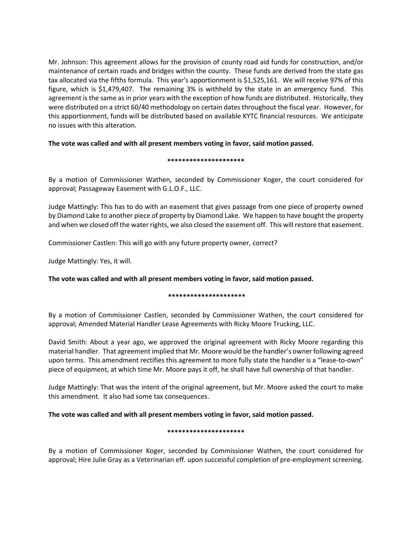Mr. Johnson: This agreement allows for the provision of county road aid funds for construction, and/or maintenance of certain roads and bridges within the county. These funds are derived from the state gas tax allocated via the fifths formula. This year's apportionment is \$1,525,161. We will receive 97% of this figure, which is \$1,479,407. The remaining 3% is withheld by the state in an emergency fund. This agreement is the same as in prior years with the exception of how funds are distributed. Historically, they were distributed on a strict 60/40 methodology on certain dates throughout the fiscal year. However, for this apportionment, funds will be distributed based on available KYTC financial resources. We anticipate no issues with this alteration.

# **The vote was called and with all present members voting in favor, said motion passed.**

## **\*\*\*\*\*\*\*\*\*\*\*\*\*\*\*\*\*\*\*\*\***

By a motion of Commissioner Wathen, seconded by Commissioner Koger, the court considered for approval; Passageway Easement with G.L.O.F., LLC.

Judge Mattingly: This has to do with an easement that gives passage from one piece of property owned by Diamond Lake to another piece of property by Diamond Lake. We happen to have bought the property and when we closed off the water rights, we also closed the easement off. This will restore that easement.

Commissioner Castlen: This will go with any future property owner, correct?

Judge Mattingly: Yes, it will.

**The vote was called and with all present members voting in favor, said motion passed.**

## **\*\*\*\*\*\*\*\*\*\*\*\*\*\*\*\*\*\*\*\*\***

By a motion of Commissioner Castlen, seconded by Commissioner Wathen, the court considered for approval; Amended Material Handler Lease Agreements with Ricky Moore Trucking, LLC.

David Smith: About a year ago, we approved the original agreement with Ricky Moore regarding this material handler. That agreement implied that Mr. Moore would be the handler's owner following agreed upon terms. This amendment rectifies this agreement to more fully state the handler is a "lease-to-own" piece of equipment, at which time Mr. Moore pays it off, he shall have full ownership of that handler.

Judge Mattingly: That was the intent of the original agreement, but Mr. Moore asked the court to make this amendment. It also had some tax consequences.

# **The vote was called and with all present members voting in favor, said motion passed.**

## **\*\*\*\*\*\*\*\*\*\*\*\*\*\*\*\*\*\*\*\*\***

By a motion of Commissioner Koger, seconded by Commissioner Wathen, the court considered for approval; Hire Julie Gray as a Veterinarian eff. upon successful completion of pre-employment screening.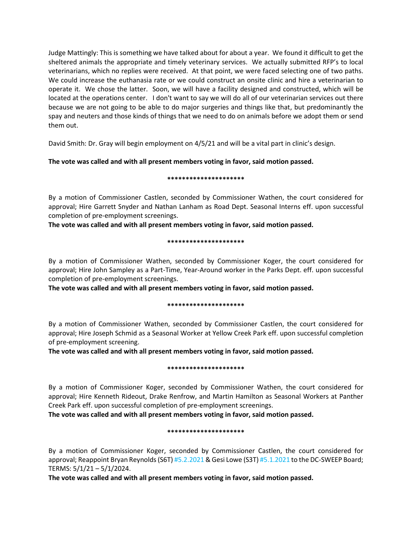Judge Mattingly: This is something we have talked about for about a year. We found it difficult to get the sheltered animals the appropriate and timely veterinary services. We actually submitted RFP's to local veterinarians, which no replies were received. At that point, we were faced selecting one of two paths. We could increase the euthanasia rate or we could construct an onsite clinic and hire a veterinarian to operate it. We chose the latter. Soon, we will have a facility designed and constructed, which will be located at the operations center. I don't want to say we will do all of our veterinarian services out there because we are not going to be able to do major surgeries and things like that, but predominantly the spay and neuters and those kinds of things that we need to do on animals before we adopt them or send them out.

David Smith: Dr. Gray will begin employment on 4/5/21 and will be a vital part in clinic's design.

# **The vote was called and with all present members voting in favor, said motion passed.**

### **\*\*\*\*\*\*\*\*\*\*\*\*\*\*\*\*\*\*\*\*\***

By a motion of Commissioner Castlen, seconded by Commissioner Wathen, the court considered for approval; Hire Garrett Snyder and Nathan Lanham as Road Dept. Seasonal Interns eff. upon successful completion of pre-employment screenings.

**The vote was called and with all present members voting in favor, said motion passed.**

### **\*\*\*\*\*\*\*\*\*\*\*\*\*\*\*\*\*\*\*\*\***

By a motion of Commissioner Wathen, seconded by Commissioner Koger, the court considered for approval; Hire John Sampley as a Part-Time, Year-Around worker in the Parks Dept. eff. upon successful completion of pre-employment screenings.

**The vote was called and with all present members voting in favor, said motion passed.**

## **\*\*\*\*\*\*\*\*\*\*\*\*\*\*\*\*\*\*\*\*\***

By a motion of Commissioner Wathen, seconded by Commissioner Castlen, the court considered for approval; Hire Joseph Schmid as a Seasonal Worker at Yellow Creek Park eff. upon successful completion of pre-employment screening.

**The vote was called and with all present members voting in favor, said motion passed.**

### **\*\*\*\*\*\*\*\*\*\*\*\*\*\*\*\*\*\*\*\*\***

By a motion of Commissioner Koger, seconded by Commissioner Wathen, the court considered for approval; Hire Kenneth Rideout, Drake Renfrow, and Martin Hamilton as Seasonal Workers at Panther Creek Park eff. upon successful completion of pre-employment screenings.

**The vote was called and with all present members voting in favor, said motion passed.**

## **\*\*\*\*\*\*\*\*\*\*\*\*\*\*\*\*\*\*\*\*\***

By a motion of Commissioner Koger, seconded by Commissioner Castlen, the court considered for approval; Reappoint Bryan Reynolds (S6T) #5.2.2021 & Gesi Lowe (S3T) #5.1.2021 to the DC-SWEEP Board; TERMS: 5/1/21 – 5/1/2024.

**The vote was called and with all present members voting in favor, said motion passed.**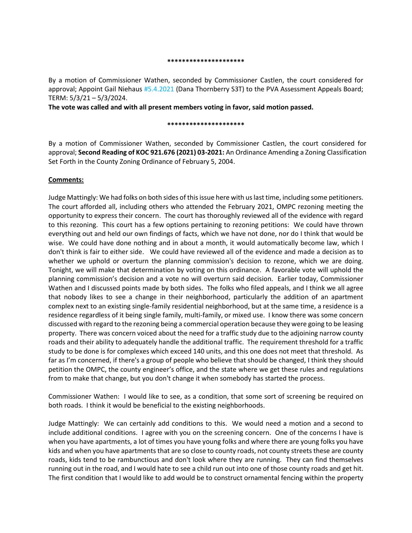#### **\*\*\*\*\*\*\*\*\*\*\*\*\*\*\*\*\*\*\*\*\***

By a motion of Commissioner Wathen, seconded by Commissioner Castlen, the court considered for approval; Appoint Gail Niehaus #5.4.2021 (Dana Thornberry S3T) to the PVA Assessment Appeals Board; TERM: 5/3/21 – 5/3/2024.

**The vote was called and with all present members voting in favor, said motion passed.**

#### **\*\*\*\*\*\*\*\*\*\*\*\*\*\*\*\*\*\*\*\*\***

By a motion of Commissioner Wathen, seconded by Commissioner Castlen, the court considered for approval; **Second Reading of KOC 921.676 (2021) 03-2021:** An Ordinance Amending a Zoning Classification Set Forth in the County Zoning Ordinance of February 5, 2004.

## **Comments:**

Judge Mattingly: We had folks on both sides of this issue here with us last time, including some petitioners. The court afforded all, including others who attended the February 2021, OMPC rezoning meeting the opportunity to express their concern. The court has thoroughly reviewed all of the evidence with regard to this rezoning. This court has a few options pertaining to rezoning petitions: We could have thrown everything out and held our own findings of facts, which we have not done, nor do I think that would be wise. We could have done nothing and in about a month, it would automatically become law, which I don't think is fair to either side. We could have reviewed all of the evidence and made a decision as to whether we uphold or overturn the planning commission's decision to rezone, which we are doing. Tonight, we will make that determination by voting on this ordinance. A favorable vote will uphold the planning commission's decision and a vote no will overturn said decision. Earlier today, Commissioner Wathen and I discussed points made by both sides. The folks who filed appeals, and I think we all agree that nobody likes to see a change in their neighborhood, particularly the addition of an apartment complex next to an existing single-family residential neighborhood, but at the same time, a residence is a residence regardless of it being single family, multi-family, or mixed use. I know there was some concern discussed with regard to the rezoning being a commercial operation because they were going to be leasing property. There was concern voiced about the need for a traffic study due to the adjoining narrow county roads and their ability to adequately handle the additional traffic. The requirement threshold for a traffic study to be done is for complexes which exceed 140 units, and this one does not meet that threshold. As far as I'm concerned, if there's a group of people who believe that should be changed, I think they should petition the OMPC, the county engineer's office, and the state where we get these rules and regulations from to make that change, but you don't change it when somebody has started the process.

Commissioner Wathen: I would like to see, as a condition, that some sort of screening be required on both roads. I think it would be beneficial to the existing neighborhoods.

Judge Mattingly: We can certainly add conditions to this. We would need a motion and a second to include additional conditions. I agree with you on the screening concern. One of the concerns I have is when you have apartments, a lot of times you have young folks and where there are young folks you have kids and when you have apartments that are so close to county roads, not county streets these are county roads, kids tend to be rambunctious and don't look where they are running. They can find themselves running out in the road, and I would hate to see a child run out into one of those county roads and get hit. The first condition that I would like to add would be to construct ornamental fencing within the property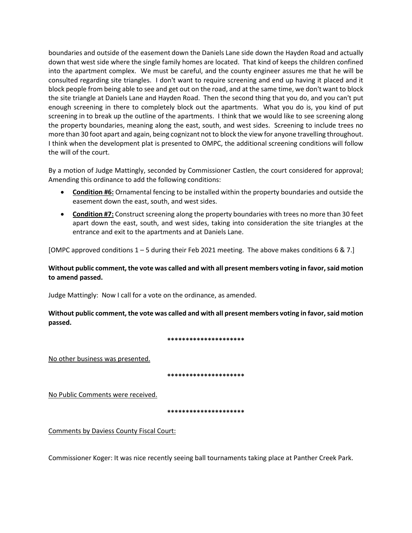boundaries and outside of the easement down the Daniels Lane side down the Hayden Road and actually down that west side where the single family homes are located. That kind of keeps the children confined into the apartment complex. We must be careful, and the county engineer assures me that he will be consulted regarding site triangles. I don't want to require screening and end up having it placed and it block people from being able to see and get out on the road, and at the same time, we don't want to block the site triangle at Daniels Lane and Hayden Road. Then the second thing that you do, and you can't put enough screening in there to completely block out the apartments. What you do is, you kind of put screening in to break up the outline of the apartments. I think that we would like to see screening along the property boundaries, meaning along the east, south, and west sides. Screening to include trees no more than 30 foot apart and again, being cognizant not to block the view for anyone travelling throughout. I think when the development plat is presented to OMPC, the additional screening conditions will follow the will of the court.

By a motion of Judge Mattingly, seconded by Commissioner Castlen, the court considered for approval; Amending this ordinance to add the following conditions:

- **Condition #6:** Ornamental fencing to be installed within the property boundaries and outside the easement down the east, south, and west sides.
- **Condition #7:** Construct screening along the property boundaries with trees no more than 30 feet apart down the east, south, and west sides, taking into consideration the site triangles at the entrance and exit to the apartments and at Daniels Lane.

[OMPC approved conditions 1 – 5 during their Feb 2021 meeting. The above makes conditions 6 & 7.]

# **Without public comment, the vote was called and with all present members voting in favor, said motion to amend passed.**

Judge Mattingly: Now I call for a vote on the ordinance, as amended.

**Without public comment, the vote was called and with all present members voting in favor, said motion passed.**

**\*\*\*\*\*\*\*\*\*\*\*\*\*\*\*\*\*\*\*\*\***

No other business was presented.

**\*\*\*\*\*\*\*\*\*\*\*\*\*\*\*\*\*\*\*\*\***

No Public Comments were received.

**\*\*\*\*\*\*\*\*\*\*\*\*\*\*\*\*\*\*\*\*\***

Comments by Daviess County Fiscal Court:

Commissioner Koger: It was nice recently seeing ball tournaments taking place at Panther Creek Park.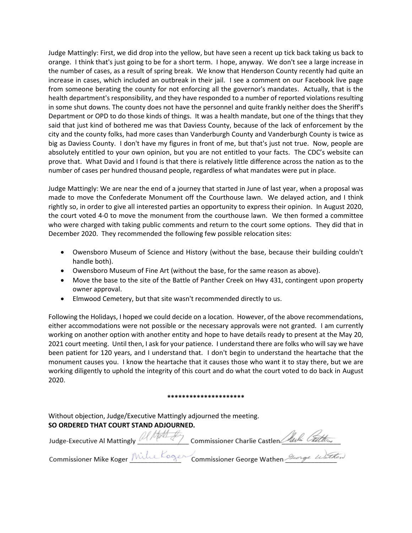Judge Mattingly: First, we did drop into the yellow, but have seen a recent up tick back taking us back to orange. I think that's just going to be for a short term. I hope, anyway. We don't see a large increase in the number of cases, as a result of spring break. We know that Henderson County recently had quite an increase in cases, which included an outbreak in their jail. I see a comment on our Facebook live page from someone berating the county for not enforcing all the governor's mandates. Actually, that is the health department's responsibility, and they have responded to a number of reported violations resulting in some shut downs. The county does not have the personnel and quite frankly neither does the Sheriff's Department or OPD to do those kinds of things. It was a health mandate, but one of the things that they said that just kind of bothered me was that Daviess County, because of the lack of enforcement by the city and the county folks, had more cases than Vanderburgh County and Vanderburgh County is twice as big as Daviess County. I don't have my figures in front of me, but that's just not true. Now, people are absolutely entitled to your own opinion, but you are not entitled to your facts. The CDC's website can prove that. What David and I found is that there is relatively little difference across the nation as to the number of cases per hundred thousand people, regardless of what mandates were put in place.

Judge Mattingly: We are near the end of a journey that started in June of last year, when a proposal was made to move the Confederate Monument off the Courthouse lawn. We delayed action, and I think rightly so, in order to give all interested parties an opportunity to express their opinion. In August 2020, the court voted 4-0 to move the monument from the courthouse lawn. We then formed a committee who were charged with taking public comments and return to the court some options. They did that in December 2020. They recommended the following few possible relocation sites:

- Owensboro Museum of Science and History (without the base, because their building couldn't handle both).
- Owensboro Museum of Fine Art (without the base, for the same reason as above).
- Move the base to the site of the Battle of Panther Creek on Hwy 431, contingent upon property owner approval.
- Elmwood Cemetery, but that site wasn't recommended directly to us.

Following the Holidays, I hoped we could decide on a location. However, of the above recommendations, either accommodations were not possible or the necessary approvals were not granted. I am currently working on another option with another entity and hope to have details ready to present at the May 20, 2021 court meeting. Until then, I ask for your patience. I understand there are folks who will say we have been patient for 120 years, and I understand that. I don't begin to understand the heartache that the monument causes you. I know the heartache that it causes those who want it to stay there, but we are working diligently to uphold the integrity of this court and do what the court voted to do back in August 2020.

### **\*\*\*\*\*\*\*\*\*\*\*\*\*\*\*\*\*\*\*\*\***

Without objection, Judge/Executive Mattingly adjourned the meeting.

**SO ORDERED THAT COURT STAND ADJOURNED.**<br>Judge-Executive Al Mattingly *Al MALL*<br>Commissioner Mike Koger *Mille Kooger* Commissioner George Wathen *Stronge Wather*